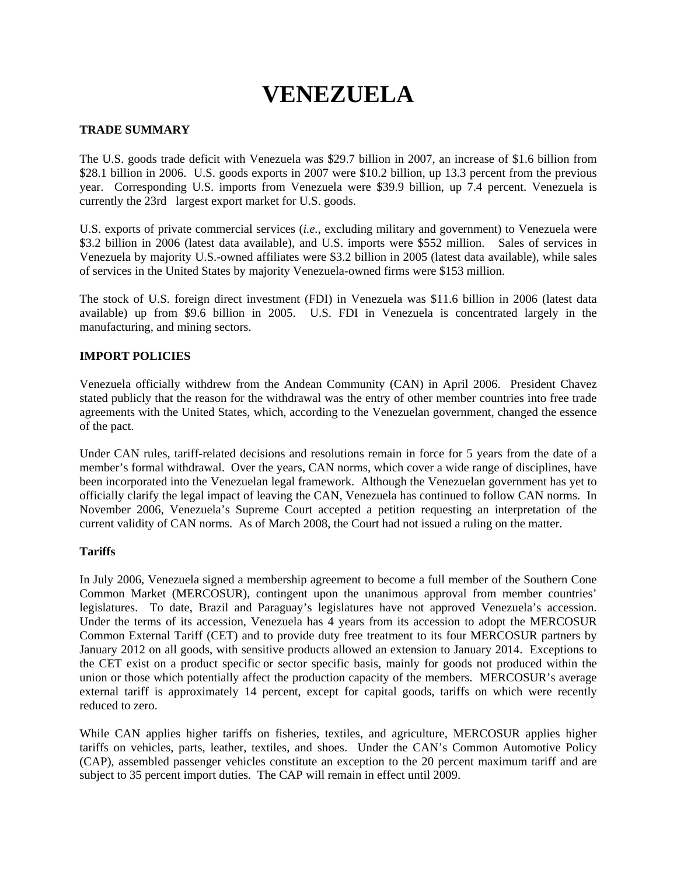# **VENEZUELA**

# **TRADE SUMMARY**

The U.S. goods trade deficit with Venezuela was \$29.7 billion in 2007, an increase of \$1.6 billion from \$28.1 billion in 2006. U.S. goods exports in 2007 were \$10.2 billion, up 13.3 percent from the previous year. Corresponding U.S. imports from Venezuela were \$39.9 billion, up 7.4 percent. Venezuela is currently the 23rd largest export market for U.S. goods.

U.S. exports of private commercial services (*i.e.*, excluding military and government) to Venezuela were \$3.2 billion in 2006 (latest data available), and U.S. imports were \$552 million. Sales of services in Venezuela by majority U.S.-owned affiliates were \$3.2 billion in 2005 (latest data available), while sales of services in the United States by majority Venezuela-owned firms were \$153 million.

The stock of U.S. foreign direct investment (FDI) in Venezuela was \$11.6 billion in 2006 (latest data available) up from \$9.6 billion in 2005. U.S. FDI in Venezuela is concentrated largely in the manufacturing, and mining sectors.

# **IMPORT POLICIES**

Venezuela officially withdrew from the Andean Community (CAN) in April 2006. President Chavez stated publicly that the reason for the withdrawal was the entry of other member countries into free trade agreements with the United States, which, according to the Venezuelan government, changed the essence of the pact.

Under CAN rules, tariff-related decisions and resolutions remain in force for 5 years from the date of a member's formal withdrawal. Over the years, CAN norms, which cover a wide range of disciplines, have been incorporated into the Venezuelan legal framework. Although the Venezuelan government has yet to officially clarify the legal impact of leaving the CAN, Venezuela has continued to follow CAN norms. In November 2006, Venezuela's Supreme Court accepted a petition requesting an interpretation of the current validity of CAN norms. As of March 2008, the Court had not issued a ruling on the matter.

# **Tariffs**

In July 2006, Venezuela signed a membership agreement to become a full member of the Southern Cone Common Market (MERCOSUR), contingent upon the unanimous approval from member countries' legislatures. To date, Brazil and Paraguay's legislatures have not approved Venezuela's accession. Under the terms of its accession, Venezuela has 4 years from its accession to adopt the MERCOSUR Common External Tariff (CET) and to provide duty free treatment to its four MERCOSUR partners by January 2012 on all goods, with sensitive products allowed an extension to January 2014. Exceptions to the CET exist on a product specific or sector specific basis, mainly for goods not produced within the union or those which potentially affect the production capacity of the members. MERCOSUR's average external tariff is approximately 14 percent, except for capital goods, tariffs on which were recently reduced to zero.

While CAN applies higher tariffs on fisheries, textiles, and agriculture, MERCOSUR applies higher tariffs on vehicles, parts, leather, textiles, and shoes. Under the CAN's Common Automotive Policy (CAP), assembled passenger vehicles constitute an exception to the 20 percent maximum tariff and are subject to 35 percent import duties. The CAP will remain in effect until 2009.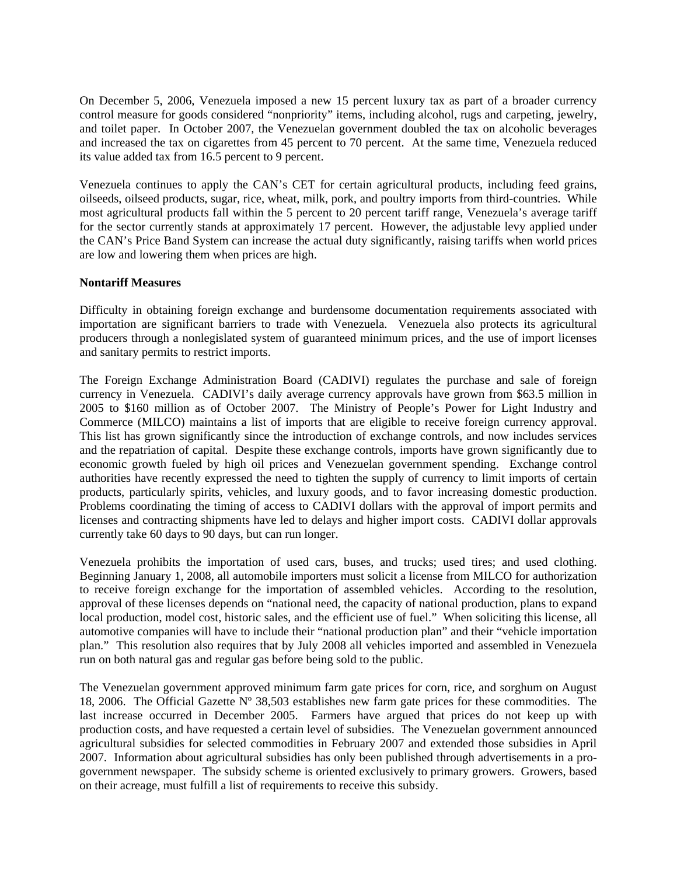On December 5, 2006, Venezuela imposed a new 15 percent luxury tax as part of a broader currency control measure for goods considered "nonpriority" items, including alcohol, rugs and carpeting, jewelry, and toilet paper. In October 2007, the Venezuelan government doubled the tax on alcoholic beverages and increased the tax on cigarettes from 45 percent to 70 percent. At the same time, Venezuela reduced its value added tax from 16.5 percent to 9 percent.

Venezuela continues to apply the CAN's CET for certain agricultural products, including feed grains, oilseeds, oilseed products, sugar, rice, wheat, milk, pork, and poultry imports from third-countries. While most agricultural products fall within the 5 percent to 20 percent tariff range, Venezuela's average tariff for the sector currently stands at approximately 17 percent.However, the adjustable levy applied under the CAN's Price Band System can increase the actual duty significantly, raising tariffs when world prices are low and lowering them when prices are high.

# **Nontariff Measures**

Difficulty in obtaining foreign exchange and burdensome documentation requirements associated with importation are significant barriers to trade with Venezuela. Venezuela also protects its agricultural producers through a nonlegislated system of guaranteed minimum prices, and the use of import licenses and sanitary permits to restrict imports.

The Foreign Exchange Administration Board (CADIVI) regulates the purchase and sale of foreign currency in Venezuela. CADIVI's daily average currency approvals have grown from \$63.5 million in 2005 to \$160 million as of October 2007. The Ministry of People's Power for Light Industry and Commerce (MILCO) maintains a list of imports that are eligible to receive foreign currency approval. This list has grown significantly since the introduction of exchange controls, and now includes services and the repatriation of capital. Despite these exchange controls, imports have grown significantly due to economic growth fueled by high oil prices and Venezuelan government spending. Exchange control authorities have recently expressed the need to tighten the supply of currency to limit imports of certain products, particularly spirits, vehicles, and luxury goods, and to favor increasing domestic production. Problems coordinating the timing of access to CADIVI dollars with the approval of import permits and licenses and contracting shipments have led to delays and higher import costs. CADIVI dollar approvals currently take 60 days to 90 days, but can run longer.

Venezuela prohibits the importation of used cars, buses, and trucks; used tires; and used clothing. Beginning January 1, 2008, all automobile importers must solicit a license from MILCO for authorization to receive foreign exchange for the importation of assembled vehicles. According to the resolution, approval of these licenses depends on "national need, the capacity of national production, plans to expand local production, model cost, historic sales, and the efficient use of fuel." When soliciting this license, all automotive companies will have to include their "national production plan" and their "vehicle importation plan." This resolution also requires that by July 2008 all vehicles imported and assembled in Venezuela run on both natural gas and regular gas before being sold to the public.

The Venezuelan government approved minimum farm gate prices for corn, rice, and sorghum on August 18, 2006. The Official Gazette Nº 38,503 establishes new farm gate prices for these commodities. The last increase occurred in December 2005. Farmers have argued that prices do not keep up with production costs, and have requested a certain level of subsidies. The Venezuelan government announced agricultural subsidies for selected commodities in February 2007 and extended those subsidies in April 2007. Information about agricultural subsidies has only been published through advertisements in a progovernment newspaper. The subsidy scheme is oriented exclusively to primary growers. Growers, based on their acreage, must fulfill a list of requirements to receive this subsidy.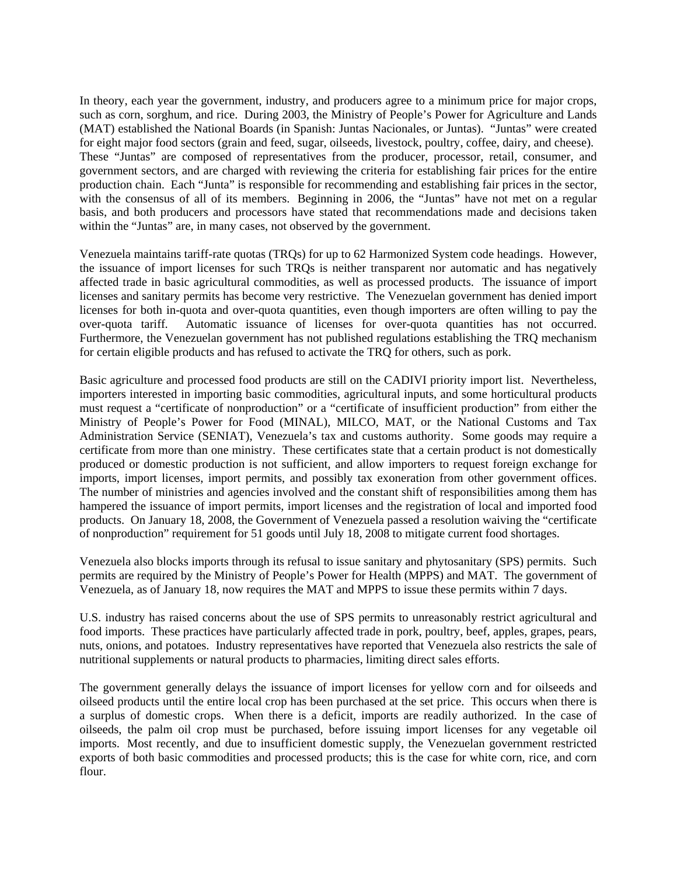In theory, each year the government, industry, and producers agree to a minimum price for major crops, such as corn, sorghum, and rice. During 2003, the Ministry of People's Power for Agriculture and Lands (MAT) established the National Boards (in Spanish: Juntas Nacionales, or Juntas). "Juntas" were created for eight major food sectors (grain and feed, sugar, oilseeds, livestock, poultry, coffee, dairy, and cheese). These "Juntas" are composed of representatives from the producer, processor, retail, consumer, and government sectors, and are charged with reviewing the criteria for establishing fair prices for the entire production chain. Each "Junta" is responsible for recommending and establishing fair prices in the sector, with the consensus of all of its members. Beginning in 2006, the "Juntas" have not met on a regular basis, and both producers and processors have stated that recommendations made and decisions taken within the "Juntas" are, in many cases, not observed by the government.

Venezuela maintains tariff-rate quotas (TRQs) for up to 62 Harmonized System code headings. However, the issuance of import licenses for such TRQs is neither transparent nor automatic and has negatively affected trade in basic agricultural commodities, as well as processed products. The issuance of import licenses and sanitary permits has become very restrictive. The Venezuelan government has denied import licenses for both in-quota and over-quota quantities, even though importers are often willing to pay the over-quota tariff*.* Automatic issuance of licenses for over-quota quantities has not occurred. Furthermore, the Venezuelan government has not published regulations establishing the TRQ mechanism for certain eligible products and has refused to activate the TRQ for others, such as pork.

Basic agriculture and processed food products are still on the CADIVI priority import list. Nevertheless, importers interested in importing basic commodities, agricultural inputs, and some horticultural products must request a "certificate of nonproduction" or a "certificate of insufficient production" from either the Ministry of People's Power for Food (MINAL), MILCO, MAT, or the National Customs and Tax Administration Service (SENIAT), Venezuela's tax and customs authority. Some goods may require a certificate from more than one ministry. These certificates state that a certain product is not domestically produced or domestic production is not sufficient, and allow importers to request foreign exchange for imports, import licenses, import permits, and possibly tax exoneration from other government offices. The number of ministries and agencies involved and the constant shift of responsibilities among them has hampered the issuance of import permits, import licenses and the registration of local and imported food products. On January 18, 2008, the Government of Venezuela passed a resolution waiving the "certificate of nonproduction" requirement for 51 goods until July 18, 2008 to mitigate current food shortages.

Venezuela also blocks imports through its refusal to issue sanitary and phytosanitary (SPS) permits. Such permits are required by the Ministry of People's Power for Health (MPPS) and MAT. The government of Venezuela, as of January 18, now requires the MAT and MPPS to issue these permits within 7 days.

U.S. industry has raised concerns about the use of SPS permits to unreasonably restrict agricultural and food imports. These practices have particularly affected trade in pork, poultry, beef, apples, grapes, pears, nuts, onions, and potatoes. Industry representatives have reported that Venezuela also restricts the sale of nutritional supplements or natural products to pharmacies, limiting direct sales efforts.

The government generally delays the issuance of import licenses for yellow corn and for oilseeds and oilseed products until the entire local crop has been purchased at the set price. This occurs when there is a surplus of domestic crops. When there is a deficit, imports are readily authorized. In the case of oilseeds, the palm oil crop must be purchased, before issuing import licenses for any vegetable oil imports. Most recently, and due to insufficient domestic supply, the Venezuelan government restricted exports of both basic commodities and processed products; this is the case for white corn, rice, and corn flour.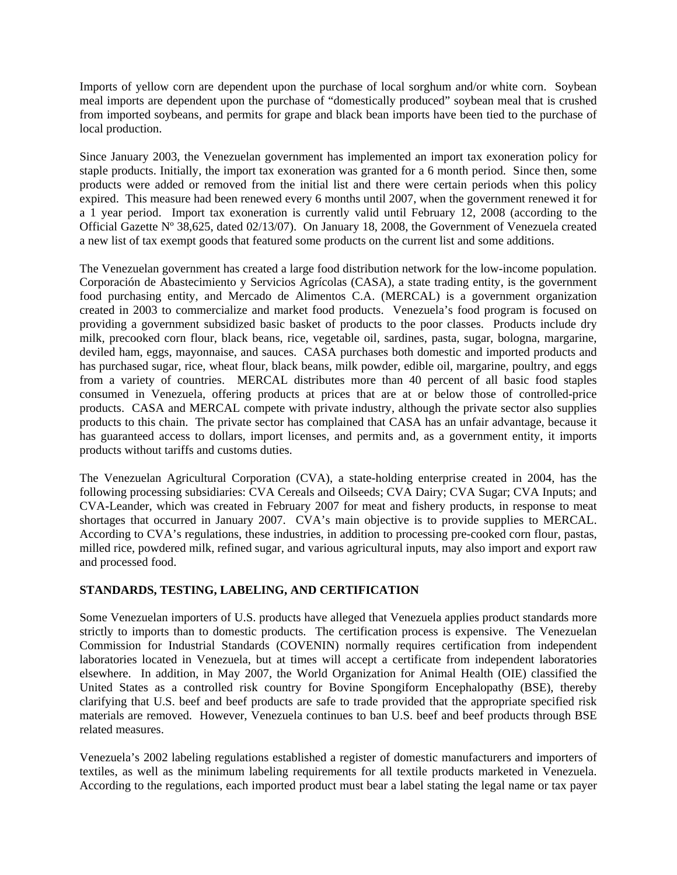Imports of yellow corn are dependent upon the purchase of local sorghum and/or white corn. Soybean meal imports are dependent upon the purchase of "domestically produced" soybean meal that is crushed from imported soybeans, and permits for grape and black bean imports have been tied to the purchase of local production.

Since January 2003, the Venezuelan government has implemented an import tax exoneration policy for staple products. Initially, the import tax exoneration was granted for a 6 month period. Since then, some products were added or removed from the initial list and there were certain periods when this policy expired. This measure had been renewed every 6 months until 2007, when the government renewed it for a 1 year period. Import tax exoneration is currently valid until February 12, 2008 (according to the Official Gazette Nº 38,625, dated 02/13/07). On January 18, 2008, the Government of Venezuela created a new list of tax exempt goods that featured some products on the current list and some additions.

The Venezuelan government has created a large food distribution network for the low-income population. Corporación de Abastecimiento y Servicios Agrícolas (CASA), a state trading entity, is the government food purchasing entity, and Mercado de Alimentos C.A. (MERCAL) is a government organization created in 2003 to commercialize and market food products. Venezuela's food program is focused on providing a government subsidized basic basket of products to the poor classes. Products include dry milk, precooked corn flour, black beans, rice, vegetable oil, sardines, pasta, sugar, bologna, margarine, deviled ham, eggs, mayonnaise, and sauces. CASA purchases both domestic and imported products and has purchased sugar, rice, wheat flour, black beans, milk powder, edible oil, margarine, poultry, and eggs from a variety of countries. MERCAL distributes more than 40 percent of all basic food staples consumed in Venezuela, offering products at prices that are at or below those of controlled-price products. CASA and MERCAL compete with private industry, although the private sector also supplies products to this chain. The private sector has complained that CASA has an unfair advantage, because it has guaranteed access to dollars, import licenses, and permits and, as a government entity, it imports products without tariffs and customs duties.

The Venezuelan Agricultural Corporation (CVA), a state-holding enterprise created in 2004, has the following processing subsidiaries: CVA Cereals and Oilseeds; CVA Dairy; CVA Sugar; CVA Inputs; and CVA-Leander, which was created in February 2007 for meat and fishery products, in response to meat shortages that occurred in January 2007. CVA's main objective is to provide supplies to MERCAL. According to CVA's regulations, these industries, in addition to processing pre-cooked corn flour, pastas, milled rice, powdered milk, refined sugar, and various agricultural inputs, may also import and export raw and processed food.

# **STANDARDS, TESTING, LABELING, AND CERTIFICATION**

Some Venezuelan importers of U.S. products have alleged that Venezuela applies product standards more strictly to imports than to domestic products. The certification process is expensive. The Venezuelan Commission for Industrial Standards (COVENIN) normally requires certification from independent laboratories located in Venezuela, but at times will accept a certificate from independent laboratories elsewhere. In addition, in May 2007, the World Organization for Animal Health (OIE) classified the United States as a controlled risk country for Bovine Spongiform Encephalopathy (BSE), thereby clarifying that U.S. beef and beef products are safe to trade provided that the appropriate specified risk materials are removed. However, Venezuela continues to ban U.S. beef and beef products through BSE related measures.

Venezuela's 2002 labeling regulations established a register of domestic manufacturers and importers of textiles, as well as the minimum labeling requirements for all textile products marketed in Venezuela. According to the regulations, each imported product must bear a label stating the legal name or tax payer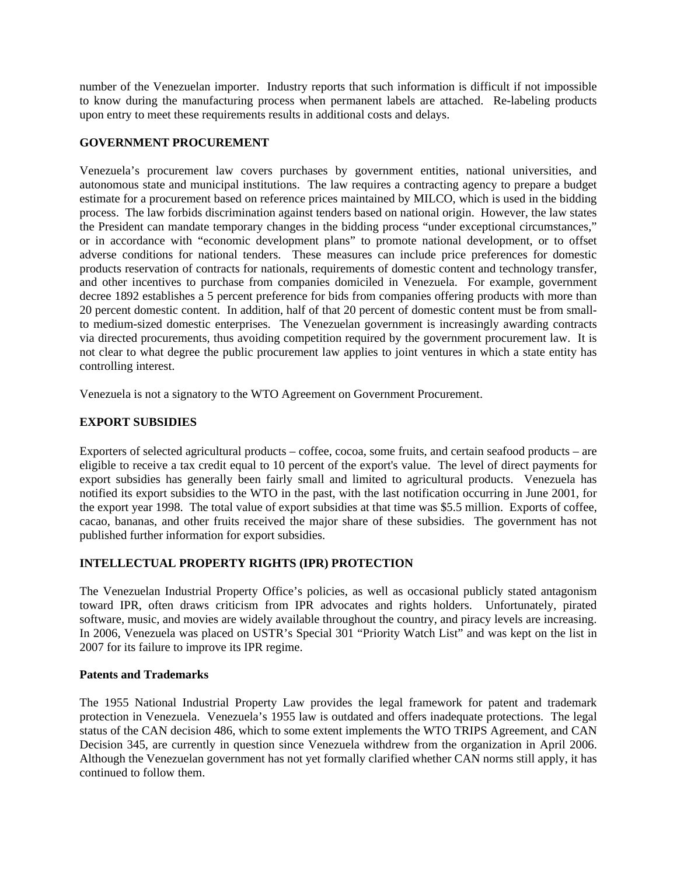number of the Venezuelan importer. Industry reports that such information is difficult if not impossible to know during the manufacturing process when permanent labels are attached. Re-labeling products upon entry to meet these requirements results in additional costs and delays.

# **GOVERNMENT PROCUREMENT**

Venezuela's procurement law covers purchases by government entities, national universities, and autonomous state and municipal institutions. The law requires a contracting agency to prepare a budget estimate for a procurement based on reference prices maintained by MILCO, which is used in the bidding process. The law forbids discrimination against tenders based on national origin. However, the law states the President can mandate temporary changes in the bidding process "under exceptional circumstances," or in accordance with "economic development plans" to promote national development, or to offset adverse conditions for national tenders. These measures can include price preferences for domestic products reservation of contracts for nationals, requirements of domestic content and technology transfer, and other incentives to purchase from companies domiciled in Venezuela. For example, government decree 1892 establishes a 5 percent preference for bids from companies offering products with more than 20 percent domestic content. In addition, half of that 20 percent of domestic content must be from smallto medium-sized domestic enterprises. The Venezuelan government is increasingly awarding contracts via directed procurements, thus avoiding competition required by the government procurement law. It is not clear to what degree the public procurement law applies to joint ventures in which a state entity has controlling interest.

Venezuela is not a signatory to the WTO Agreement on Government Procurement.

# **EXPORT SUBSIDIES**

Exporters of selected agricultural products – coffee, cocoa, some fruits, and certain seafood products – are eligible to receive a tax credit equal to 10 percent of the export's value. The level of direct payments for export subsidies has generally been fairly small and limited to agricultural products. Venezuela has notified its export subsidies to the WTO in the past, with the last notification occurring in June 2001, for the export year 1998. The total value of export subsidies at that time was \$5.5 million. Exports of coffee, cacao, bananas, and other fruits received the major share of these subsidies. The government has not published further information for export subsidies.

# **INTELLECTUAL PROPERTY RIGHTS (IPR) PROTECTION**

The Venezuelan Industrial Property Office's policies, as well as occasional publicly stated antagonism toward IPR, often draws criticism from IPR advocates and rights holders. Unfortunately, pirated software, music, and movies are widely available throughout the country, and piracy levels are increasing. In 2006, Venezuela was placed on USTR's Special 301 "Priority Watch List" and was kept on the list in 2007 for its failure to improve its IPR regime.

# **Patents and Trademarks**

The 1955 National Industrial Property Law provides the legal framework for patent and trademark protection in Venezuela. Venezuela's 1955 law is outdated and offers inadequate protections. The legal status of the CAN decision 486, which to some extent implements the WTO TRIPS Agreement, and CAN Decision 345, are currently in question since Venezuela withdrew from the organization in April 2006. Although the Venezuelan government has not yet formally clarified whether CAN norms still apply, it has continued to follow them.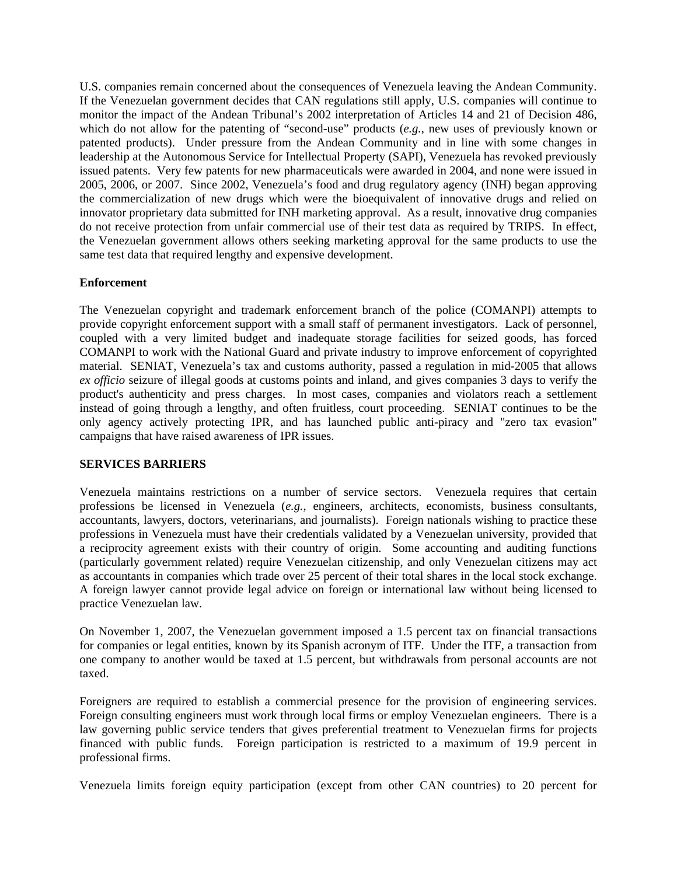U.S. companies remain concerned about the consequences of Venezuela leaving the Andean Community. If the Venezuelan government decides that CAN regulations still apply, U.S. companies will continue to monitor the impact of the Andean Tribunal's 2002 interpretation of Articles 14 and 21 of Decision 486, which do not allow for the patenting of "second-use" products (*e.g.*, new uses of previously known or patented products). Under pressure from the Andean Community and in line with some changes in leadership at the Autonomous Service for Intellectual Property (SAPI), Venezuela has revoked previously issued patents. Very few patents for new pharmaceuticals were awarded in 2004, and none were issued in 2005, 2006, or 2007. Since 2002, Venezuela's food and drug regulatory agency (INH) began approving the commercialization of new drugs which were the bioequivalent of innovative drugs and relied on innovator proprietary data submitted for INH marketing approval. As a result, innovative drug companies do not receive protection from unfair commercial use of their test data as required by TRIPS. In effect, the Venezuelan government allows others seeking marketing approval for the same products to use the same test data that required lengthy and expensive development.

# **Enforcement**

The Venezuelan copyright and trademark enforcement branch of the police (COMANPI) attempts to provide copyright enforcement support with a small staff of permanent investigators. Lack of personnel, coupled with a very limited budget and inadequate storage facilities for seized goods, has forced COMANPI to work with the National Guard and private industry to improve enforcement of copyrighted material. SENIAT, Venezuela's tax and customs authority, passed a regulation in mid-2005 that allows *ex officio* seizure of illegal goods at customs points and inland, and gives companies 3 days to verify the product's authenticity and press charges. In most cases, companies and violators reach a settlement instead of going through a lengthy, and often fruitless, court proceeding. SENIAT continues to be the only agency actively protecting IPR, and has launched public anti-piracy and "zero tax evasion" campaigns that have raised awareness of IPR issues.

# **SERVICES BARRIERS**

Venezuela maintains restrictions on a number of service sectors. Venezuela requires that certain professions be licensed in Venezuela (*e.g.*, engineers, architects, economists, business consultants, accountants, lawyers, doctors, veterinarians, and journalists). Foreign nationals wishing to practice these professions in Venezuela must have their credentials validated by a Venezuelan university, provided that a reciprocity agreement exists with their country of origin. Some accounting and auditing functions (particularly government related) require Venezuelan citizenship, and only Venezuelan citizens may act as accountants in companies which trade over 25 percent of their total shares in the local stock exchange. A foreign lawyer cannot provide legal advice on foreign or international law without being licensed to practice Venezuelan law.

On November 1, 2007, the Venezuelan government imposed a 1.5 percent tax on financial transactions for companies or legal entities, known by its Spanish acronym of ITF. Under the ITF, a transaction from one company to another would be taxed at 1.5 percent, but withdrawals from personal accounts are not taxed.

Foreigners are required to establish a commercial presence for the provision of engineering services. Foreign consulting engineers must work through local firms or employ Venezuelan engineers. There is a law governing public service tenders that gives preferential treatment to Venezuelan firms for projects financed with public funds. Foreign participation is restricted to a maximum of 19.9 percent in professional firms.

Venezuela limits foreign equity participation (except from other CAN countries) to 20 percent for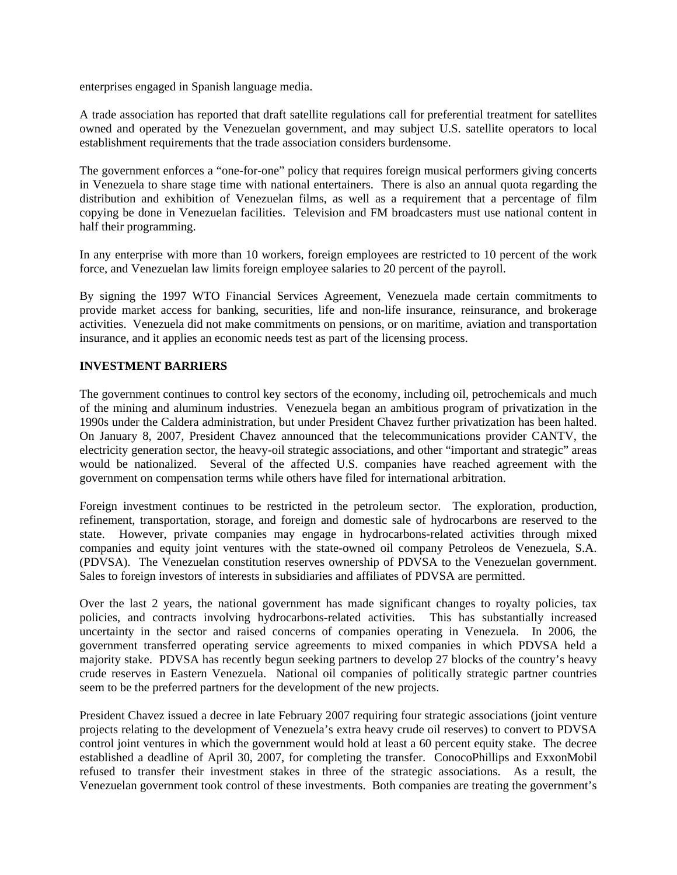enterprises engaged in Spanish language media.

A trade association has reported that draft satellite regulations call for preferential treatment for satellites owned and operated by the Venezuelan government, and may subject U.S. satellite operators to local establishment requirements that the trade association considers burdensome.

The government enforces a "one-for-one" policy that requires foreign musical performers giving concerts in Venezuela to share stage time with national entertainers. There is also an annual quota regarding the distribution and exhibition of Venezuelan films, as well as a requirement that a percentage of film copying be done in Venezuelan facilities. Television and FM broadcasters must use national content in half their programming.

In any enterprise with more than 10 workers, foreign employees are restricted to 10 percent of the work force, and Venezuelan law limits foreign employee salaries to 20 percent of the payroll.

By signing the 1997 WTO Financial Services Agreement, Venezuela made certain commitments to provide market access for banking, securities, life and non-life insurance, reinsurance, and brokerage activities. Venezuela did not make commitments on pensions, or on maritime, aviation and transportation insurance, and it applies an economic needs test as part of the licensing process.

# **INVESTMENT BARRIERS**

The government continues to control key sectors of the economy, including oil, petrochemicals and much of the mining and aluminum industries. Venezuela began an ambitious program of privatization in the 1990s under the Caldera administration, but under President Chavez further privatization has been halted. On January 8, 2007, President Chavez announced that the telecommunications provider CANTV, the electricity generation sector, the heavy-oil strategic associations, and other "important and strategic" areas would be nationalized. Several of the affected U.S. companies have reached agreement with the government on compensation terms while others have filed for international arbitration.

Foreign investment continues to be restricted in the petroleum sector. The exploration, production, refinement, transportation, storage, and foreign and domestic sale of hydrocarbons are reserved to the state. However, private companies may engage in hydrocarbons-related activities through mixed companies and equity joint ventures with the state-owned oil company Petroleos de Venezuela, S.A. (PDVSA). The Venezuelan constitution reserves ownership of PDVSA to the Venezuelan government. Sales to foreign investors of interests in subsidiaries and affiliates of PDVSA are permitted.

Over the last 2 years, the national government has made significant changes to royalty policies, tax policies, and contracts involving hydrocarbons-related activities. This has substantially increased uncertainty in the sector and raised concerns of companies operating in Venezuela. In 2006, the government transferred operating service agreements to mixed companies in which PDVSA held a majority stake. PDVSA has recently begun seeking partners to develop 27 blocks of the country's heavy crude reserves in Eastern Venezuela. National oil companies of politically strategic partner countries seem to be the preferred partners for the development of the new projects.

President Chavez issued a decree in late February 2007 requiring four strategic associations (joint venture projects relating to the development of Venezuela's extra heavy crude oil reserves) to convert to PDVSA control joint ventures in which the government would hold at least a 60 percent equity stake. The decree established a deadline of April 30, 2007, for completing the transfer. ConocoPhillips and ExxonMobil refused to transfer their investment stakes in three of the strategic associations. As a result, the Venezuelan government took control of these investments. Both companies are treating the government's